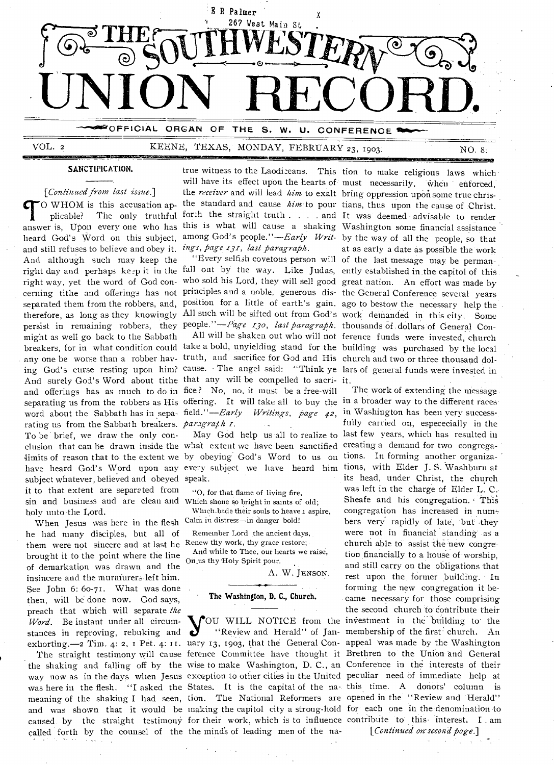

# VOL. 2 KEENE, TEXAS, MONDAY, FEBRUARY 23, 1903. NO. 8.

**EINSIIIMMIESSOMORIMENKS** 

#### SANCTIFICATION.

*[Continued from last issue.] O* WHOM is this accusation applicable? The only truthful heard God's Word on this subject, and still refuses to believe and obey it. *ings, page 131, last paragraph.*  And although such may keep the right way, yet the word of God concerning tithe and offerings has not therefore, as long as they knowingly

might as well go back to the Sabbath rating us from the Sabbath breakers. *paragrafh 1*. To be brief, we draw the only consubject whatever, believed and obeyed speak. it to that extent are separated from sin and business and are clean and Which shone so bright in saints of old; holy unto the Lord.

When Jesus was here in the flesh Calm in distress—in danger bold! he had many disciples, but all of them were not sincere and at last he Renew thy work, thy grace restore; brought it to the point where the line of demarkation was drawn and the insincere and the murniurers.left him. See John 6: 60-71. What was done then, will be done now. God says, preach that which will separate *the Word.* Be instant under all circumstances in reproving, rebuking and

called forth by the counsel of the the mind's of leading men of the na-

true witness to the Laodiceans. This tion to make religious laws which

any one be worse than a robber hav- truth, and sacrifice for God and His church and two or three thousand dol-And surely God's Word about tithe that any will be compelled to sacri- it. and offerings has as much to do in fice? No, no, it must be a free-will separating us from the robbers as His offering. It will take all to buy the in a broader way to the different races

clusion that can be drawn inside the what extent we have been sanctified creating a demand for two congregalimits of reason that to the extent we by obeying God's Word to us on tions. In forming another organizahave heard God's Word upon any every subject we liave heard him tions, with Elder J.S. Washburn at

> "0, for that flame of living fire, Which bade their souls to heave 1 aspire,

Remember Lord the ancient days,

And while to Thee, our hearts we raise, On us thy Holy Spirit pour.

A. W. JENsoN.

#### The Washington, D. C., Church.

TO WHOM is this accusation ap-the standard and cause *him* to pour tians, thus upon the cause of Christ.<br>
plicable? The only truthful forth the straight truth . . . . and It was deemed advisable to render<br>
answer is, Upon right day and perhaps keep it in the fall out by the way. Like Judas, ently established in the capitol of this separated them from the robbers, and, position for a little of earth's gain. ago to bestow the necessary help the persist in remaining robbers, they people."—*Page 130, last paragraph*. thousands of dollars of General Conbreakers, for in what condition could take a bold, unyielding stand for the building was purchased by the local ing God's curse resting upon him? cause. The angel said: "Think ye lars of general funds were invested in will have its effect upon the hearts of must necessarily, when enforced, the *receiver* and will lead *him* to exalt bring oppression upon some true christhe standard and cause *him* to pour tians, thus upon the cause of Christ. forth the straight truth . . . . and It was deemed advisable to render among God's people."—*Early Writ*- by the way of all the people, so that at as early a date as possible the work "Every selfish covetous person will of the last message may be permanwho sold his Lord, they will sell good great nation. An effort was made by principles and a noble, generous dis- the General Conference several years All such will be sifted out from God's work demanded in this city. Some All will be shaken out who will not ference funds were invested, church

word about the Sabbath has in sepa- field."—*Early Writings, page 42*, <sup>in</sup> Washington has been very successexhorting.—2 Tim. 4: 2, I Pet. 4: II. uary 13, 1903, that the General Con- appeal was made by the Washington The straight testimony will cause ference Committee have thought it Brethren to the Union and General the shaking and falling off by the wise to make Washington, D. C., an Conference in the interests of their way now as in the days when Jesus exception to other cities in the United peculiar need of immediate help at was here in the flesh. "I asked the States. It is the capital of the na- this time. A donors' column is meaning of the shaking I had seen, tion. The National Reformers are opened in the "Review and Herald" and was shown that it would be making the capitol city a strong-hold for each one in the denomination to caused by the straight testimony for their work, which is to influence contribute to this interest. I am **Y**OU WILL NOTICE from the investment in the building to the "Review and Herald" of Jan- membership of the first church. An "Review and Herald" of Jan-membership of the first church. An The work of extending the message . fully carried on, espececially in the May God help us all to realize to last few years, which has resulted in its head, under Christ, the church was left in the charge of Elder L. C.- Sheafe and his congregation. This congregation has increased in numbers very rapidly of late, but they were not in financial standing as a church able to assist the new congretion financially to a house of worship, and still carry on the obligations that rest upon the. former building. In forming the new congregation it became necessary for those comprising the second church to contribute their *[Continued on-second page.]*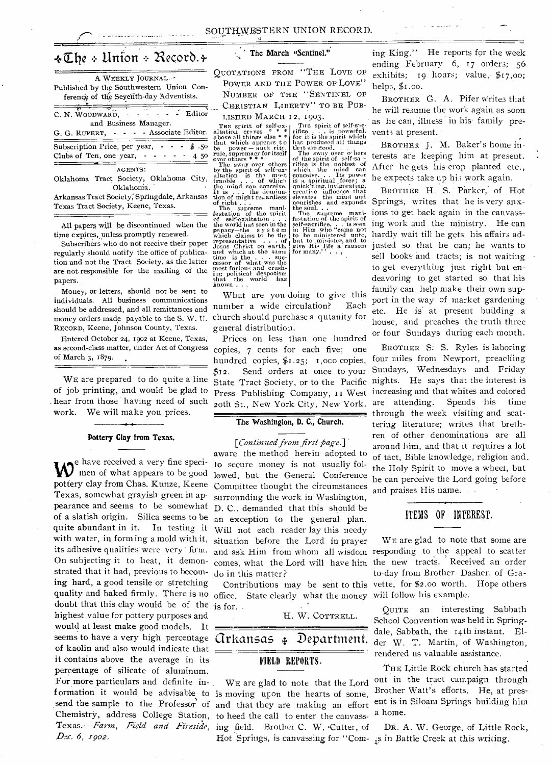# +Zile Union Necorb.§-

| A WEEKLY JOURNAL.                                        |
|----------------------------------------------------------|
| Published by the Southwestern Union Con-                 |
| ferencë of the Seyenth-day Adventists.                   |
| Editor<br>C. N. WOODWARD,                                |
| and Business Manager.                                    |
| G. G. RUPERT, - - - - Associate Editor.                  |
| Subscription Price, per year, $\cdot \cdot \cdot$ \$ .50 |
| Clubs of Ten, one year, $- - -$<br>-450                  |
| AGENTS:                                                  |
| Oklahoma Tract Society, Oklahoma City,                   |
| Oklahoma.                                                |

Arkansas Tract Society', Springdale, Arkansas Texas Tract Society, Keene, Texas.

All papers will be discontinued when the time expires, unless promptly renewed.

Subscribers who do not receive their paper regularly should notify the office of publication and not the Tract Society, as the latter are not responsible for the mailing of the papers.

Money, or letters, should not be sent to individuals. All business communications should be addressed, and all remittances and money orders made payable to the S. W. U. RECORD, Keene, Johnson County, Texas.

Entered October 24, 1902 at Keene, Texas; as second-class matter, under Act of Congress of March 3, 1879.

WE are prepared to do quite a line of job printing, and would be glad to . hear from those having need of such work. We will make you prices.

#### Pottery Clay from Texas.

e have received a very fine speci- $\bf{W}^{\rm{c}}$  men of what appears to be good pottery clay from Chas. Kunze, Keene Texas, somewhat grayish green in appearance and seems to be somewhat of a slatish origin. Silica seems to be quite abundant in it. In testing it with water, in forming a mold with it, its adhesive qualities were very firm. On subjecting it to heat, it demonstrated that it had, previous to becoming hard, a good tensile or stretching quality and baked firmly. There is no office. State clearly what the money will follow his example. doubt that this clay would be of the is for. highest value for pottery purposes and would at least make good models. It seems to have a very high percentage *Grkansas* of kaolin and also would indicate that it contains above the average in its percentage of silicate of aluminum. For more particulars and definite information it would be advisable to is moving upon the hearts of some, *D.Y. 6, 1902.* 

## The March "Sentinel."

QUOTATIONS FROM "THE LOVE OF POWER AND THE POWER OF LOVE' NUMBER OF THE "SENTINEL OF CHRISTIAN LIBERTY" TO BE PUB-LISHED MARCH 12, 1903.

The spirit of self-such<br>riffee ... is powerful.<br>for it is the spirit which<br>thas produced all things<br>that are good...<br>The sway over o here.<br>of the spirit of the mind can<br>riffee is the noblest of<br>conceive... Its power

THE spirit of self-ex-<br>altation craves  $*$ <br>altation craves  $*$ <br>that which appears to<br>be power - auth rity,<br>the power - auth rity,<br>over others  $*$ <br>of the spirit of self-ex-<br>The sway over others<br>altation is the model<br>altati is a spiritual force; a quick'ning, invigorating, creatix e influence that elevates the mind and nourishes and expands the soul. .<br>The soul. .<br>the soul. .<br>festation of the spirit of<br>self-sacrifice. . . is seen<br>in Him who "came not<br>to be minister, and to<br>give His life a ransom<br>for many." . . ,

The supreme mani-<br>festation of the spirit<br>of self-exaltation . . .<br>papacy—the system<br>papacy—the system<br>which claims to be the where trains of the same<br>despote and which at the same<br>time is the . . suc-<br>cessor of what was the<br>most furious and crush-<br>ing political despotism<br>that the world has known . . .

What are you doing to give this number a wide circulation? Each church should purchase a qutanity for general distribution.

Prices on less than one hundred copies, 7 cents for each five; one hundred copies,  $\frac{6}{3}1.25$ ; I, oco copies, \$12. Send orders at once to your State Tract Society, or to the Pacific Press Publishing Company, ri West 20th St., New York City, New York.

## *The* Washington, **D.** C., Church.

[Continued from first page.] aware the method herein adopted to to secure money is not usually followed, but the General Conference Committee thought the circumstances surrounding the work in Washington, D. C., demanded that this should be an exception to the general plan. Will not each reader lay this needy situation before the Lord in prayer and ask Him from whom all wisdom responding to the appeal to scatter comes, what the Lord will have him the new tracts. Received an order do in this matter?

H. W. COTTRELL.

 $\ddagger$  Department.

# FIELD REPORTS.

send the sample to the Professor of and that they are making an effort Chemistry, address College Station, to heed the call to enter the canvass-Texas.-*Farm, Field and Fireside*, ing field. Brother C. W. Cutter, of WE are glad to note that the Lord

ing King." He reports for the week ending February 6, 17 orders; 56 exhibits; 19 hours; value,  $\sharp$ 17,00; helps, \$1.00.

BROTHER G. A. Pifer writes that he will resume the work again as soon as he can, illness in his. family prevents at present.

BROTHER J. M. Baker's home interests are keeping him at present. After he gets his crop planted etc., he expects take up his work again.

BROTHER H. S. Parker, of Hot Springs, writes that he is very anxious to get back again in the canvassing work and the ministry. He can hardly wait till he gets his affairs adjusted so that he can; he wants to sell books and tracts; is not waiting to get everything just right but endeavoring to get started so that his family can help make their own support in the way of market gardening etc. He is' at present building a house, and preaches the truth three or four Sundays during each month.

BROTHER S: S. Ryles is laboring four miles from Newport, preaching Sundays, Wednesdays and Friday nights. He says that the interest is increasing and that whites and colored are attending. Spends his time through the week visiting and scattering literature; writes that brethren of other denominations are all around him, and that it requires a lot of tact, Bible knowledge, religion and, the Holy Spirit to move a wheel, but be can perceive the Lord going before and praises His name.

### ITEMS OF INTEREST.

Contributions may be sent to this vette, for \$2.00 worth. Hope others WE are glad to note that some are to-day from Brother Dasher, of Gra-

> QUITE an interesting Sabbath School Convention was held in Springdale, Sabbath, the 14th instant. Elder W. T. Martin, of Washington, rendered us valuable assistance.

> THE Little Rock church has started out in the tract campaign through Brother Watt's efforts. He, at present is in Siloam Springs building him a home.

Hot Springs, is canvassing for "Com-is in Battle Creek at this writing. DR. A. W. George, of Little Rock,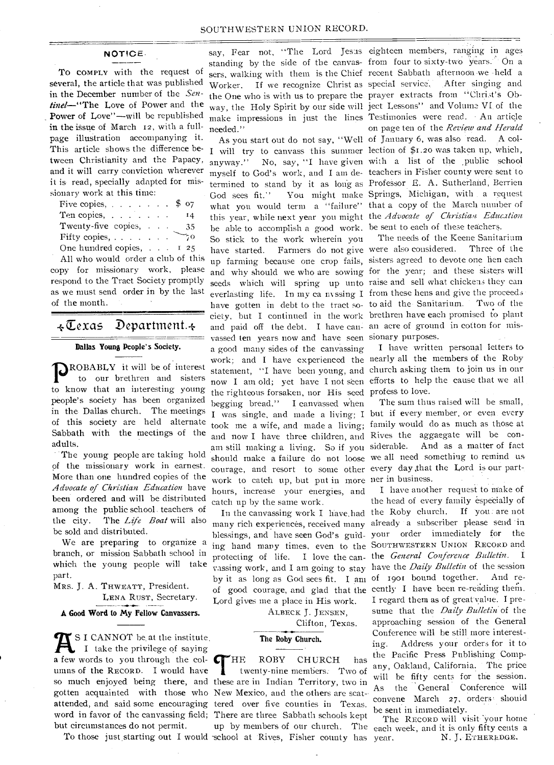## **NOTICE.**

**To** COMPLY with the request of several, the article that was published in the December number of the *Sentinel—"The* Love of Power and the Power of Love"—will be republished in the issue of March 12, with a fullpage illustration accompanying it. This article shows the difference between Christianity and the Papacy, and it will carry conviction wherever it is read, specially adapted for missionary work at this time:

| Five copies, $\ldots$ $\ldots$ $\ldots$ |  | \$o7   |
|-----------------------------------------|--|--------|
| Ten copies,                             |  | Ι4     |
| Twenty-five copies,                     |  |        |
|                                         |  | 35     |
| Fifty copies,                           |  | 70     |
| One hundred copies,                     |  | $I$ 25 |

All who would order a club of this copy for missionary work, please respond to the Tract Society proniptly as we must send order in by the last of the month.

# $\overline{\star\mathbb{C}}$ exas Department. $\overline{\star}$

#### **Dallas Young People's Society.**

**P**ROBABLY it will be of interest<br>to our brethren and sisters to our brethren and sisters to know that an interesting young people's society has been organized in the Dallas church. The meetings of this society are held alternate Sabbath with the meetings of the adults.

The young people are taking hold of the missionary work in earnest. More than one hundred copies of the *Advocate of Christian Education* have been ordered and will be distributed among the public school teachers of the city. The *Life Boat* will also be sold and distributed.

We are preparing to organize a branch, or mission Sabbath school in which the young people will take part.

MRS. **J.** A. THWEATT, President. LENA RUST, Secretary.

**A Good Word to My Fellow Canvassers.** 

**A.** I. CANNOT be at the institute<br>a few words to you through the col-SI CANNOT be at the institute. I take the privilege of saying umns of the RECORD. I would have so much enjoyed being there, and these are in Indian Territory, two in gotten acquainted with those who New Mexico, and the others are scatattended, and said some encouraging tered over five counties in Texas. word in favor of the canvassing field; There are three Sabbath schools kept but circumstances do not permit.

needed."

be able to accomplish a good work. be sent to each of these teachers. So stick to the work wherein you and paid off the debt. I have can- an acre of ground in cotton for misvassed ten years now and have seen sionary purposes. a good many sides of the canvassing the righteous forsaken, nor His seed profess to love. begging bread." I canvassed when and now I have three children, and Rives the aggaegate will be conam still making a living. So if you siderable. courage, and resort to some other every day ,that the Lord is our partwork to catch up, but put in more ner in business. hours, increase your energies, and catch up by the same work.

Lord gives me a place in His work.

ALBECK J. JENSEN,

Clifton, Texas.

#### **The Roby Church.**

To those just starting out I would school at Rives, Fisher county has **T**HE ROBY CHURCH has twenty-nine members.- Two of

say, Fear not, "The Lord Jesus. eighteen members, ranging in ages standing by the side of the canvas- from four to sixty-two years. On a sers, walking with them is the Chief recent Sabbath afternoon we -held a Worker. If we recognize Christ as special service. After singing and the One who is with us to prepare the. prayer extracts from "Christ's Obway, the Holy Spirit by our side will ject Lessons" and Volume VI. of the make impressions in just the lines Testimonies were read. - An article As you start out do not say, "Well of January 6, was also read. A col-I will try to canvass this summer lection of \$1.20 was taken up, which, anyway." No, say, "I have given with a list of the public school myself to God's work, and I am de-teachers in Fisher county were sent to termined to stand by it as long as ProfeSsor E. A. Sutherland, Berrien God sees fit." You might make Springs, Michigan, with a request what you would term a "failure" that a copy of the March number of this year, while next year you might the *Advocate of Christian Education*  on page ten of the *Review and Herald* 

have started. Farmers do not give were also considered. Three of the up farming because one crop fails, sisters agreed to devote one hen each and why should we who are sowing for the year; and these sisters will seeds which will spring up unto raise and sell what chickens they can everlasting life. In my ca nvssing I from these hens and give the proceeds evertasting life. The my callivshing 1 from these help and give the processes ciety, but I continued in the work brethren have each promised to plant The needs of the Keene Sanitarium

work; and I have experienced the nearly all the members of the Roby statement, "I have been young, and church asking them to join us in our now I am old; yet have I not seen efforts to help the cause that we all **I** have written personal letters to

I was single, and made a living; I but if every member, or even every took me a wife, and made a living; family would do as much as those at should make a failure do not loose we all need something to remind us. The sum thus raised will be small, And as a matter of fact

In the canvassing work I have, had the Roby church. If you are not many rich experiences, received many already a subscriber please send in blessings, and have seen God's guid-your order immediately for the ing hand many times, even to the SOUTHWESTERN UNION RECORD and protecting of life. I love the can-the *General Conference Bulletin.* I vassing work, and I am going to stay have the *Daily Bulletin* of the session by it as long as God sees fit. I am of 1901 bound together. And reof good courage, and glad that the cently I have been re-reading them. I have another request to Make of the head of every family especially of I regard them as of great value. I presume that the *Daily Bulletin* of the approaching session of the General Conference will be still more interesting. Address your orders for it to the Pacific Press Publishing Company, Oakland, California. The price will be fifty cents for the session. As the General Conference will convene March 27, orders, shouid be sent in immediately.

up by members of our church. The each week, and it is only fifty cents a The RECORD will visit your home N. J. ETHEREDGE.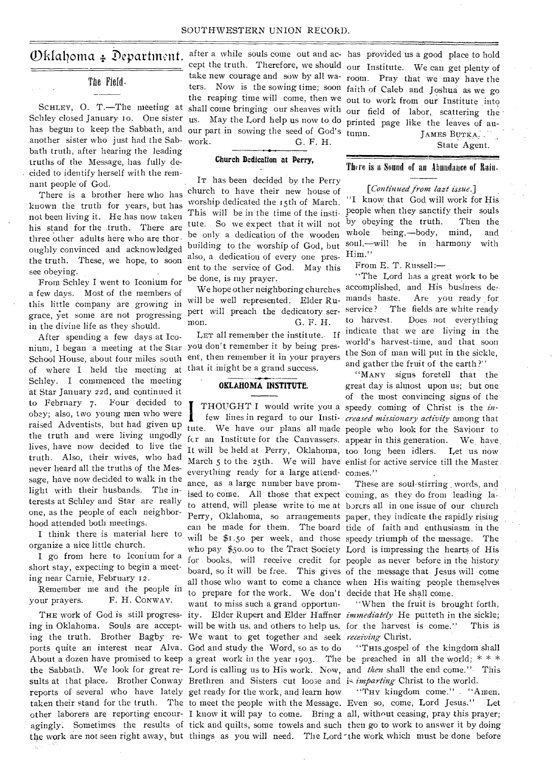#### SOUTHWESTERN UNION RECORD.

## The Field.

Schley closed January 10. One sister has begun to keep the Sabbath, and our part in sowing the seed of God's another sister who just had the Sabbath truth, after hearing the leading truths of the Message, has fully decided to identify herself with the remnant people of God.

There is a brother here who has known the truth for years, but has not been living it. He has now taken his stand for the .truth. There are three other adults here who are thoroughly convinced and acknowledged the truth. These, we hope, to soon see obeying.

From Schley I went to Iconium for a few days. Most of the members of this little company are growing in grace, yet some are not progressing in the divine life as they should.

After spending a few days at Iconium, I began a meeting at the Star you don't remember it by being pres-School House, about four miles south ent, then remember it in your prayers of where I held the meeting at that it might be a grand success. Schley. I commenced the meeting at Star January 22d, and continued it to February 7. Four decided to obey; also, two young men who were raised Adventists, but had given up the truth and were living ungodly lives, have now decided to live the truth. Also, their wives, who had never heard all the truths of the Message, have now decided to walk in the light with their husbands. The interests at Schley and Star are really one, as the people of each neighborhood attended both meetings.

I think there is material here to organize a nice little church.

I go from here to Iconium for a short stay, expecting to begin a meeting near Carnie, February 12.

Remember me and the people in your prayers. F. H. CONWAY.

ing in Oklahoma. Souls are accept-will be with us, and others to help us. for the harvest is come." This is ing the truth. Brother Bagby re-We want to get together and seek *receiving* Christ. ports quite an interest near Alva. God and study the Word, so as to do sults at that place. Brother Conway Brethren and Sisters cut loose and is *imparting* Christ to the world. reports of several who have lately get ready for the work, and learn how the work are not seen right away, but things as you will need. The Lord the work which must be done before

work. G. F. H.

## **Church Dedication at Perry,**

IT has been decided by the Perry church to have their new house of worship dedicated the 15th of March. This will be in the time of the institute. So we expect that it will not be only a dedication of the wooden building to the worship of God, but also, a dedication of every one present to the service of God. May this be done, is my prayer.

will be well represented. Elder Rupert will preach the dedicatory sermon. G. F. H.

LET all remember the institute. If

## **OKLAHOMA INSTITUTE.**

I everything ready for a large attend-comes." ance, as a large number have promto prepare for the work. We don't decide that He shall come. want to miss such a grand opportun-

 $\mathcal{D}$ klahoma  $\ast$  Department. after a while souls come out and ac- has provided us a good place to hold SCHLEY, O. T.—The meeting at shall come bringing our sheaves with our field of labor, scattering the cept the truth. Therefore, we should our Institute. We can get plenty of take new courage and sow by all wa-room. Pray that we may have the ters. Now is the sowing time; soon faith of Caleb and Joshua as we go the reaping time will come, then we out to work from our Institute into us. May the Lord help us now to do printed page like the leaves of au-JAMES BUTKA. .

State Agent.

## There is a Sound of an Abundance of Rain.

*[Continued from lazt issue.]* 

"I know that God will work for His people when they sanctify their souls by obeying the truth. Then the whole being,—body, mind, and soul,—will he in harmony with Him."

From E. T. Russell:—

We hope other neighboring churches accomplished, and His business de-"The Lord has a great work to be mands haste. Are you ready for service? The fields are white ready to harvest. Does not everything indicate that we are living in the world's harvest-time, and that soon the Son of man will put in the sickle. and gather the fruit of the earth ?"

THOUGHT I would write you a speedy coming of Christ is the *in*few lines in regard to our Insti- creased missionary activity among that tute. We have our plans all made people who look for the Saviour to fcr an Institute for the Canvassers. appear in this generation. We, have. It will be held at Perry, Oklahoma, too long been idlers. Let us now March 5 to the 25th. We will have enlist for active service till the Master. "MANY signs foretell that the great day is almost upon us; but one. of the most convincing signs of the

ised to come. All those that expect coming, as they do from leading lato attend, will please write to me at borers all in one issue of our church Perry, Oklahoma, so arrangements paper, they indicate the rapidly rising can be made for them. The board tide of faith and enthusiasm in the will be \$1.50 per week, and those speedy triumph of the message. The who pay \$50.00 to the Tract Society Lord is impressing the hearts\_ of His for books, will receive credit for people as never before in the history board, so it will be free. This gives of the message that Jesus will come all those who want to come a chance when His waiting people themselves These are soul-stirring words, and

THE work of God is still progress-ity. Elder Rupert and Elder Haffner *immediately* He putteth in the sickle; "When the fruit is brought forth,

About a dozen have promised to keep a great work in the year 1903. The be preached in all the world; \* \* \* the Sabbath. We look for great re-Lord is calling us to His work. Now, and *then* shall the end come.", This "THIS .gospel of the kingdom shall.

taken their stand for the truth. The to meet the people with the Message. Even so, come, Lord Jesus." Let other laborers are reporting encour-I know it will pay to come. Bring a all, without ceasing, pray this prayer; agingly. Sometimes the results of tick and quilts, some towels and such then go to work to answer it by doing "THY kingdom come." "Amen.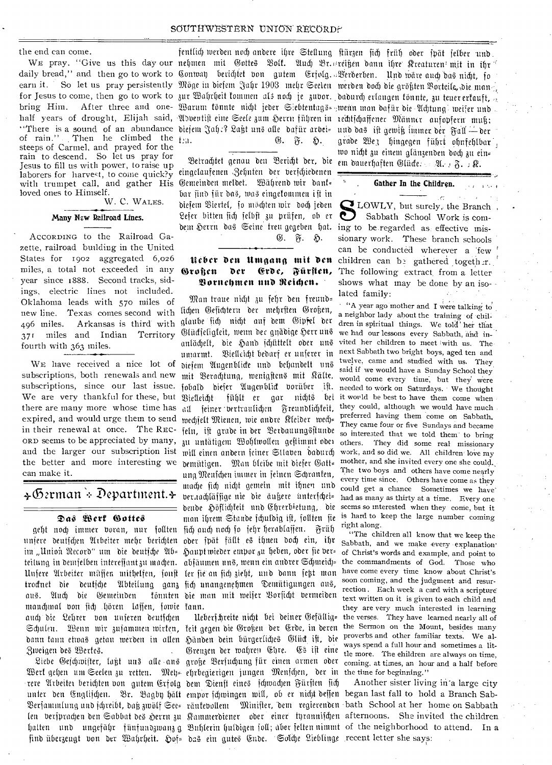the end can come.

of rain." Then he climbed the  $t_{20}$ . steeps of Carmel, and prayed for the rain to descend. So let us pray for Jesus to fill us with power, to raise up laborers for harvest, to come quick?y with trumpet call, and gather His loved ones to Himself.

## W. C. WALES.

## Many New Railroad Lines.

ACCORDING to the Railroad Gazette, railroad building in the United States for 1902 aggregated 6,026 miles, a total not exceeded in any year since 1888. Second tracks, sidings, electric lines not included. Oklahoma leads with 570 miles of new line. Texas comes second with Arkansas is third with 496 miles. 371 miles and Indian Territory fourth with 363 miles.

WE have received a nice lot of subscriptions, both renewals and new subscriptions, since our last issue. We are very thankful for these, but there are many more whose time has expired, and would urge them to send in their renewal at once. The REC-ORD seems to be appreciated by many, au untatigem Wohlwollen geftimmt oder others. They did some real missionary and the larger our subscription list mill einen andern jeiner Stlaben dadurch the better and more interesting we pemütigen. Man bleibe mit diefer Gatt= can make it.

# $\ast$ German  $\ast$  Department. $\ast$

#### Das Wert Gottes

unsere deutschen Arbeiter mehr berichten oder spät fällt es ihnen doch ein, ihr im "Union Record" um die deutsche Ab= teilung in demjelben intereffant zu machen. abfäumen uns, wenn ein andrer Schmeich= Unsere Arbeiter müssen mithelfen, sonst ler sie an sich zieht, und dann setzt man trocknet die deutsche Abteilung ganz sich unangenehmen Demütigungen aus, aus. Auch die Gemeinden manchmal von sich hören laffen, fowie kann. auch die Lehrer von unseren deutschen Schulen. Wenn wir zusammen wirten, keit gegen die Großen der Erde, in deren dann tann etwas getau werden in allen Händen dein bürgerliches Glück ift, die Zweigen des Werfes.

Werf gehen um Seelen zu retten. Meh= ehrbegierigen jungen Menschen, der in the time for beginning." rere Arbeiter berichten von gutem Erfolg dem Dienst eines schwachen Fürsten sich unter den Englijchen. Br. Bagby hält empor schwingen will, ob er nicht deffen began last fall to hold a Branch Sab-Berjammlung und jchreibt, daß zwölf See= räufebollem Minifter, dem regierenden bath School at her home on Sabbath len versprachen den Sabbat des Herrn zu Kammerdiener oder einer tyrannischen afternoons. She invited the children halten und ungefähr fünfundzwanz g Buhlerin huldigen joll; aber felten nimmt of the neighborhood to attend. In a find überzeugt von der Wahrheit. Hof= das ein gutes Ende. Solche Lieblinge recent letter she says:

WE pray. "Give us this day our nehmen mit Gottes Bolf. Auch Br. reigen dann ihre Rreaturen mit in ihr daily bread," and then go to work to Conway berichtet von gutem Erjolg. Verderben. Und wäre auch das nicht, jo earn it. So let us pray persistently Möge in diesem Jahr 1903 mehr Seelen werden doch die größten Vorteile, die man for Jesus to come, then go to work to jur Wahrheit tommen als noch je zubor. dadurch erlangen fönnte, zu teuer erfauft, bring Him. After three and one- Warum fönnte nicht jeder Siebtentags= wenn man dafür die Achtung weiser und half years of drought, Elijah said, Adventist eine Seele zum Herrn führen in rechtschaffener Männer aufopfern muß; "There is a sound of an abundance diejem Jah:? Lagt uns alle dafür arbei- und das ist gewiß immer der Fall - der G. F. H.

> Betrachtet genau den Bericht der, die eingelaufenen Zehnten der verschiedenen Gemeinden meldet. Während wir dank= bar find für das, mas eingekommen ist in diesem Biertel, so möchten wir doch jeden Leser bitten sich selbst zu prüfen, ob er dem herrn das Seine treu gegeben hat. ing to be regarded as effective mis-

G.  $\tilde{n}$ . ...

#### Nèber den Umgang mit den Großen der Erde, Fürsten, Bornehmen und Reichen.

Man traue nicht zu sehr den freund= lichen Gesichtern der mehrsten Großen, glaube sich nicht auf dem Gipfel der Glückseligkeit, wenn der gnädige Herr uns anlächelt, die Hand schüttelt oder uns umarmt. Bielleicht bedarf er unserer in diesem Augenblicke und behandelt uns mit Berachtung, wenigstens mit Kälte, fobald dieser Augenblick vorüber ist. Bielleicht fühlt er gar nichts bei all feiner vertraulichen Freundlichkeit, mechselt Mienen, wie andre Kleider wech= feln, ist grade in der Berdauungsstunde ung Menschen immer in seinen Schranken, mache sich nicht gemein mit ihnen und ver.achlässige nie die ängere unterschei= dende Höflichkeit und Ehrerbietung, die man ihrem Stande schuldig ift, sollten sie geht noch immer voran, nur sollten sich auch noch so sehr herablassen. Früh Haupt wieder empor zu heben, oder fie berkönnten die man mit weiser Vorsicht vermeiden

> Ueberschreite nicht bei deiner Gefällig= Grenzen der wahren Ehre. Es ist eine

fentlich werden noch andere ihre Stellung stürzen sich früh oder spät jelber und grade We3 hingegen führt ohnfehlbar. wo nicht zu einem glänzenden doch zu ein= em dauerhaften Glücken: A. R. R.

#### Gather In the Children.

LOWLY, but surely, the Branch, Sabbath School Work is comsionary work. These branch schools can be conducted wherever a few children can be gathered together. The following extract from a letter shows what may be done by an isolated family:

"A year ago mother and I were talking to a neighbor lady about the training of children in spiritual things. We told her that we had our lessons every Sabbath, and invited her children to meet with us. The next Sabbath two bright boys, aged ten and twelve, came and studied with us. They said if we would have a Sunday School they would come every time, but they were needed to work on Saturdays. We thought it would be best to have them come when they could, although we would have much preferred having them come on Sabbath. They came four or five Sundays and became so interested that we told them to bring work, and so did we. All children love my mother, and she invited every one she could. The two boys and others have come nearly every time since. Others have come as they could get a chance Sometimes we have had as many as thirty at a time. Every one seems so interested when they come, but it is hard to keep the large number coming right along.

"The children all know that we keep the Sabbath, and we make every explanation of Christ's words and example, and point to the commandments of God. Those who have come every time know about Christ's soon coming, and the judgment and resurrection. Each week a card with a scripture text written on it is given to each child and they are very much interested in learning the verses. They have learned nearly all of the Sermon on the Mount, besides many proverbs and other familiar texts. We always spend a full hour and sometimes a little more. The ehildren are always on time, Liebe Geschwister, lagt uns alle ans große Versuchung für einen armen oder coming at times, an hour and a half before

Another sister living in a large city